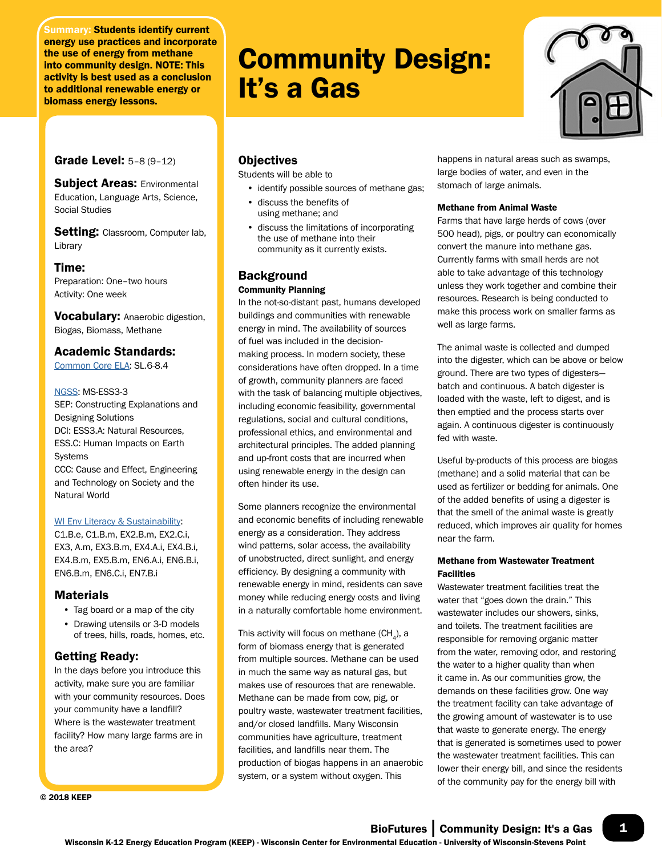Summary: Students identify current energy use practices and incorporate the use of energy from methane into community design. NOTE: This activity is best used as a conclusion to additional renewable energy or biomass energy lessons.

# Community Design: It's a Gas



## **Grade Level: 5-8 (9-12)**

**Subject Areas: Environmental** Education, Language Arts, Science, Social Studies

Setting: Classroom, Computer lab, Library

## Time:

Preparation: One–two hours Activity: One week

Vocabulary: Anaerobic digestion, Biogas, Biomass, Methane

## Academic Standards:

[Common Core ELA:](http://www.uwsp.edu/cnr-ap/KEEP/Documents/Activities/Standards/CommonCoreELA_Standards.pdf) SL.6-8.4

#### [NGSS:](http://www.uwsp.edu/cnr-ap/KEEP/Documents/Activities/Standards/NGSS.pdf) MS-ESS3-3

SEP: Constructing Explanations and Designing Solutions DCI: ESS3.A: Natural Resources, ESS.C: Human Impacts on Earth Systems CCC: Cause and Effect, Engineering and Technology on Society and the Natural World

#### [WI Env Literacy & Sustainability](https://dpi.wi.gov/environmental-ed/standards):

C1.B.e, C1.B.m, EX2.B.m, EX2.C.i, EX3, A.m, EX3.B.m, EX4.A.i, EX4.B.i, EX4.B.m, EX5.B.m, EN6.A.i, EN6.B.i, EN6.B.m, EN6.C.i, EN7.B.i

# Materials

- Tag board or a map of the city
- Drawing utensils or 3-D models of trees, hills, roads, homes, etc.

# Getting Ready:

In the days before you introduce this activity, make sure you are familiar with your community resources. Does your community have a landfill? Where is the wastewater treatment facility? How many large farms are in the area?

© 2018 KEEP

# **Objectives**

Students will be able to

- identify possible sources of methane gas;
- discuss the benefits of using methane; and
- discuss the limitations of incorporating the use of methane into their community as it currently exists.

# Background

## Community Planning

In the not-so-distant past, humans developed buildings and communities with renewable energy in mind. The availability of sources of fuel was included in the decisionmaking process. In modern society, these considerations have often dropped. In a time of growth, community planners are faced with the task of balancing multiple objectives, including economic feasibility, governmental regulations, social and cultural conditions, professional ethics, and environmental and architectural principles. The added planning and up-front costs that are incurred when using renewable energy in the design can often hinder its use.

Some planners recognize the environmental and economic benefits of including renewable energy as a consideration. They address wind patterns, solar access, the availability of unobstructed, direct sunlight, and energy efficiency. By designing a community with renewable energy in mind, residents can save money while reducing energy costs and living in a naturally comfortable home environment.

This activity will focus on methane  $(CH<sub>a</sub>)$ , a form of biomass energy that is generated from multiple sources. Methane can be used in much the same way as natural gas, but makes use of resources that are renewable. Methane can be made from cow, pig, or poultry waste, wastewater treatment facilities, and/or closed landfills. Many Wisconsin communities have agriculture, treatment facilities, and landfills near them. The production of biogas happens in an anaerobic system, or a system without oxygen. This

happens in natural areas such as swamps, large bodies of water, and even in the stomach of large animals.

#### Methane from Animal Waste

Farms that have large herds of cows (over 500 head), pigs, or poultry can economically convert the manure into methane gas. Currently farms with small herds are not able to take advantage of this technology unless they work together and combine their resources. Research is being conducted to make this process work on smaller farms as well as large farms.

The animal waste is collected and dumped into the digester, which can be above or below ground. There are two types of digesters batch and continuous. A batch digester is loaded with the waste, left to digest, and is then emptied and the process starts over again. A continuous digester is continuously fed with waste.

Useful by-products of this process are biogas (methane) and a solid material that can be used as fertilizer or bedding for animals. One of the added benefits of using a digester is that the smell of the animal waste is greatly reduced, which improves air quality for homes near the farm.

## Methane from Wastewater Treatment Facilities

Wastewater treatment facilities treat the water that "goes down the drain." This wastewater includes our showers, sinks, and toilets. The treatment facilities are responsible for removing organic matter from the water, removing odor, and restoring the water to a higher quality than when it came in. As our communities grow, the demands on these facilities grow. One way the treatment facility can take advantage of the growing amount of wastewater is to use that waste to generate energy. The energy that is generated is sometimes used to power the wastewater treatment facilities. This can lower their energy bill, and since the residents of the community pay for the energy bill with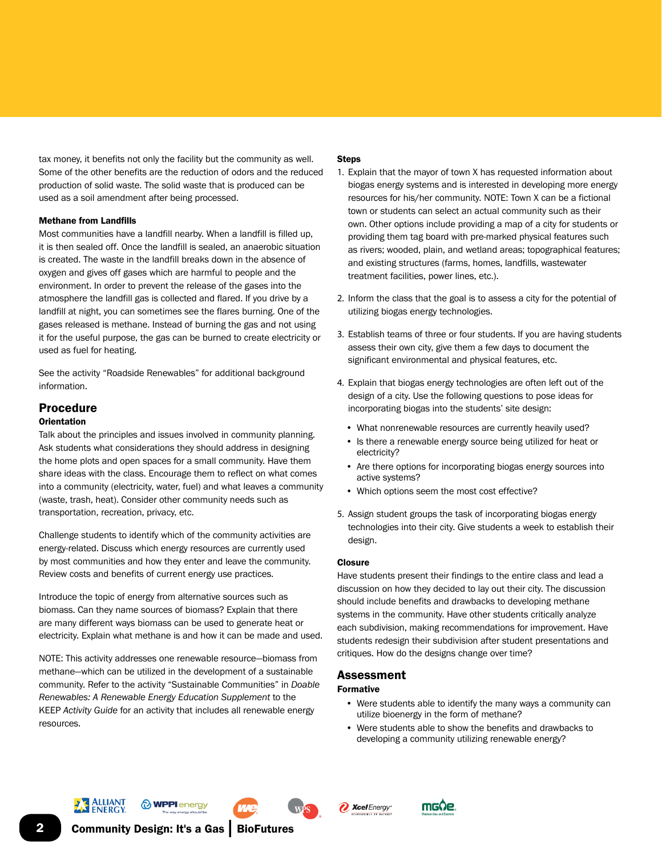tax money, it benefits not only the facility but the community as well. Some of the other benefits are the reduction of odors and the reduced production of solid waste. The solid waste that is produced can be used as a soil amendment after being processed.

#### Methane from Landfills

Most communities have a landfill nearby. When a landfill is filled up, it is then sealed off. Once the landfill is sealed, an anaerobic situation is created. The waste in the landfill breaks down in the absence of oxygen and gives off gases which are harmful to people and the environment. In order to prevent the release of the gases into the atmosphere the landfill gas is collected and flared. If you drive by a landfill at night, you can sometimes see the flares burning. One of the gases released is methane. Instead of burning the gas and not using it for the useful purpose, the gas can be burned to create electricity or used as fuel for heating.

See the activity "Roadside Renewables" for additional background information.

## Procedure

#### **Orientation**

Talk about the principles and issues involved in community planning. Ask students what considerations they should address in designing the home plots and open spaces for a small community. Have them share ideas with the class. Encourage them to reflect on what comes into a community (electricity, water, fuel) and what leaves a community (waste, trash, heat). Consider other community needs such as transportation, recreation, privacy, etc.

Challenge students to identify which of the community activities are energy-related. Discuss which energy resources are currently used by most communities and how they enter and leave the community. Review costs and benefits of current energy use practices.

Introduce the topic of energy from alternative sources such as biomass. Can they name sources of biomass? Explain that there are many different ways biomass can be used to generate heat or electricity. Explain what methane is and how it can be made and used.

NOTE: This activity addresses one renewable resource—biomass from methane—which can be utilized in the development of a sustainable community. Refer to the activity "Sustainable Communities" in *Doable Renewables: A Renewable Energy Education Supplement* to the KEEP *Activity Guide* for an activity that includes all renewable energy resources.

#### **Steps**

- 1. Explain that the mayor of town X has requested information about biogas energy systems and is interested in developing more energy resources for his/her community. NOTE: Town X can be a fictional town or students can select an actual community such as their own. Other options include providing a map of a city for students or providing them tag board with pre-marked physical features such as rivers; wooded, plain, and wetland areas; topographical features; and existing structures (farms, homes, landfills, wastewater treatment facilities, power lines, etc.).
- 2. Inform the class that the goal is to assess a city for the potential of utilizing biogas energy technologies.
- 3. Establish teams of three or four students. If you are having students assess their own city, give them a few days to document the significant environmental and physical features, etc.
- 4. Explain that biogas energy technologies are often left out of the design of a city. Use the following questions to pose ideas for incorporating biogas into the students' site design:
	- What nonrenewable resources are currently heavily used?
	- Is there a renewable energy source being utilized for heat or electricity?
	- Are there options for incorporating biogas energy sources into active systems?
	- Which options seem the most cost effective?
- 5. Assign student groups the task of incorporating biogas energy technologies into their city. Give students a week to establish their design.

#### Closure

Have students present their findings to the entire class and lead a discussion on how they decided to lay out their city. The discussion should include benefits and drawbacks to developing methane systems in the community. Have other students critically analyze each subdivision, making recommendations for improvement. Have students redesign their subdivision after student presentations and critiques. How do the designs change over time?

#### Assessment Formative

- Were students able to identify the many ways a community can utilize bioenergy in the form of methane?
- Were students able to show the benefits and drawbacks to developing a community utilizing renewable energy?